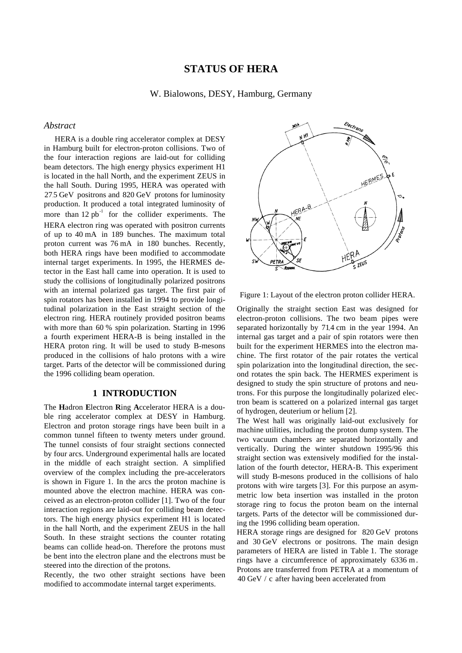# **STATUS OF HERA**

W. Bialowons, DESY, Hamburg, Germany

#### *Abstract*

HERA is a double ring accelerator complex at DESY in Hamburg built for electron-proton collisions. Two of the four interaction regions are laid-out for colliding beam detectors. The high energy physics experiment H1 is located in the hall North, and the experiment ZEUS in the hall South. During 1995, HERA was operated with  $27.5$  GeV positrons and  $820$  GeV protons for luminosity production. It produced a total integrated luminosity of more than  $12 pb^{-1}$  for the collider experiments. The HERA electron ring was operated with positron currents of up to 40 mA in 189 bunches. The maximum total proton current was 76 mA in 180 bunches. Recently, both HERA rings have been modified to accommodate internal target experiments. In 1995, the HERMES detector in the East hall came into operation. It is used to study the collisions of longitudinally polarized positrons with an internal polarized gas target. The first pair of spin rotators has been installed in 1994 to provide longitudinal polarization in the East straight section of the electron ring. HERA routinely provided positron beams with more than 60 % spin polarization. Starting in 1996 a fourth experiment HERA-B is being installed in the HERA proton ring. It will be used to study B-mesons produced in the collisions of halo protons with a wire target. Parts of the detector will be commissioned during the 1996 colliding beam operation.

## **1 INTRODUCTION**

The **H**adron **E**lectron **R**ing **A**ccelerator HERA is a double ring accelerator complex at DESY in Hamburg. Electron and proton storage rings have been built in a common tunnel fifteen to twenty meters under ground. The tunnel consists of four straight sections connected by four arcs. Underground experimental halls are located in the middle of each straight section. A simplified overview of the complex including the pre-accelerators is shown in Figure 1. In the arcs the proton machine is mounted above the electron machine. HERA was conceived as an electron-proton collider [1]. Two of the four interaction regions are laid-out for colliding beam detectors. The high energy physics experiment H1 is located in the hall North, and the experiment ZEUS in the hall South. In these straight sections the counter rotating beams can collide head-on. Therefore the protons must be bent into the electron plane and the electrons must be steered into the direction of the protons.

Recently, the two other straight sections have been modified to accommodate internal target experiments.



Figure 1: Layout of the electron proton collider HERA.

Originally the straight section East was designed for electron-proton collisions. The two beam pipes were separated horizontally by 714 cm in the year 1994. An internal gas target and a pair of spin rotators were then built for the experiment HERMES into the electron machine. The first rotator of the pair rotates the vertical spin polarization into the longitudinal direction, the second rotates the spin back. The HERMES experiment is designed to study the spin structure of protons and neutrons. For this purpose the longitudinally polarized electron beam is scattered on a polarized internal gas target of hydrogen, deuterium or helium [2].

The West hall was originally laid-out exclusively for machine utilities, including the proton dump system. The two vacuum chambers are separated horizontally and vertically. During the winter shutdown 1995/96 this straight section was extensively modified for the installation of the fourth detector, HERA-B. This experiment will study B-mesons produced in the collisions of halo protons with wire targets [3]. For this purpose an asymmetric low beta insertion was installed in the proton storage ring to focus the proton beam on the internal targets. Parts of the detector will be commissioned during the 1996 colliding beam operation.

HERA storage rings are designed for 820 GeV protons and 30 GeV electrons or positrons. The main design parameters of HERA are listed in Table 1. The storage rings have a circumference of approximately 6336 m . Protons are transferred from PETRA at a momentum of 40 GeV / c after having been accelerated from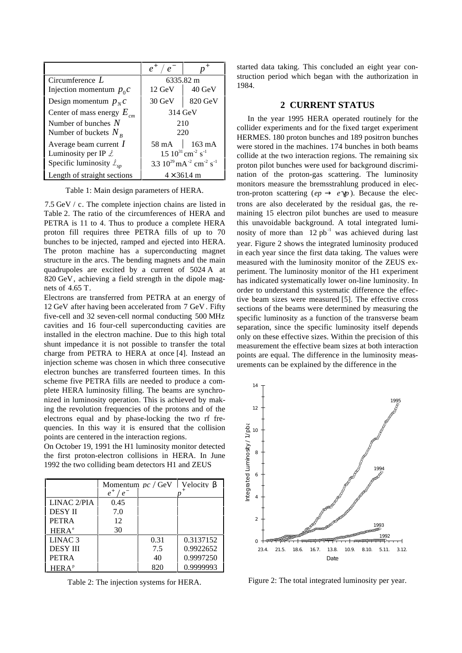|                                        | $e^+$<br>$\mathfrak{e}$                                         |                          |  |
|----------------------------------------|-----------------------------------------------------------------|--------------------------|--|
| Circumference $L$                      | 6335.82 m                                                       |                          |  |
| Injection momentum $p_0 c$             | $12 \text{ GeV}$                                                | $40 \text{ GeV}$         |  |
| Design momentum $p_N c$                | $30 \text{ GeV}$                                                | 820 GeV                  |  |
| Center of mass energy $E_{cm}$         | 314 GeV                                                         |                          |  |
| Number of bunches $N$                  | 210                                                             |                          |  |
| Number of buckets $N_R$                | 220                                                             |                          |  |
| Average beam current $I$               |                                                                 | $58 \text{ mA}$   163 mA |  |
| Luminosity per IP $\mathcal L$         | $15~10^{31}$ cm <sup>-2</sup> s <sup>-1</sup>                   |                          |  |
| Specific luminosity $\mathcal{L}_{sp}$ | 3.3 $10^{29}$ mA <sup>-2</sup> cm <sup>-2</sup> s <sup>-1</sup> |                          |  |
| Length of straight sections            | $4 \times 361.4 \text{ m}$                                      |                          |  |

Table 1: Main design parameters of HERA.

7.5 GeV / c. The complete injection chains are listed in Table 2. The ratio of the circumferences of HERA and PETRA is 11 to 4. Thus to produce a complete HERA proton fill requires three PETRA fills of up to 70 bunches to be injected, ramped and ejected into HERA. The proton machine has a superconducting magnet structure in the arcs. The bending magnets and the main quadrupoles are excited by a current of 5024 A at 820 GeV, achieving a field strength in the dipole magnets of 4.65 T.

Electrons are transferred from PETRA at an energy of 12 GeV after having been accelerated from 7 GeV . Fifty five-cell and 32 seven-cell normal conducting 500 MHz cavities and 16 four-cell superconducting cavities are installed in the electron machine. Due to this high total shunt impedance it is not possible to transfer the total charge from PETRA to HERA at once [4]. Instead an injection scheme was chosen in which three consecutive electron bunches are transferred fourteen times. In this scheme five PETRA fills are needed to produce a complete HERA luminosity filling. The beams are synchronized in luminosity operation. This is achieved by making the revolution frequencies of the protons and of the electrons equal and by phase-locking the two rf frequencies. In this way it is ensured that the collision points are centered in the interaction regions.

On October 19, 1991 the H1 luminosity monitor detected the first proton-electron collisions in HERA. In June 1992 the two colliding beam detectors H1 and ZEUS

|                    | Momentum $pc / GeV$ | Velocity B |           |  |
|--------------------|---------------------|------------|-----------|--|
|                    | $e^+$<br>$e^{-}$    |            |           |  |
| LINAC 2/PIA        | 0.45                |            |           |  |
| <b>DESY II</b>     | 7.0                 |            |           |  |
| <b>PETRA</b>       | 12                  |            |           |  |
| HERA <sup>e</sup>  | 30                  |            |           |  |
| LINAC <sub>3</sub> |                     | 0.31       | 0.3137152 |  |
| <b>DESY III</b>    |                     | 7.5        | 0.9922652 |  |
| <b>PETRA</b>       |                     | 40         | 0.9997250 |  |
| HERA <sup>p</sup>  |                     | 820        | 0.9999993 |  |

Table 2: The injection systems for HERA.

started data taking. This concluded an eight year construction period which began with the authorization in 1984.

#### **2 CURRENT STATUS**

In the year 1995 HERA operated routinely for the collider experiments and for the fixed target experiment HERMES. 180 proton bunches and 189 positron bunches were stored in the machines. 174 bunches in both beams collide at the two interaction regions. The remaining six proton pilot bunches were used for background discrimination of the proton-gas scattering. The luminosity monitors measure the bremsstrahlung produced in electron-proton scattering ( $ep \rightarrow e \gamma p$ ). Because the electrons are also decelerated by the residual gas, the remaining 15 electron pilot bunches are used to measure this unavoidable background. A total integrated luminosity of more than  $12$  pb<sup>-1</sup> was achieved during last year. Figure 2 shows the integrated luminosity produced in each year since the first data taking. The values were measured with the luminosity monitor of the ZEUS experiment. The luminosity monitor of the H1 experiment has indicated systematically lower on-line luminosity. In order to understand this systematic difference the effective beam sizes were measured [5]. The effective cross sections of the beams were determined by measuring the specific luminosity as a function of the transverse beam separation, since the specific luminosity itself depends only on these effective sizes. Within the precision of this measurement the effective beam sizes at both interaction points are equal. The difference in the luminosity measurements can be explained by the difference in the



Figure 2: The total integrated luminosity per year.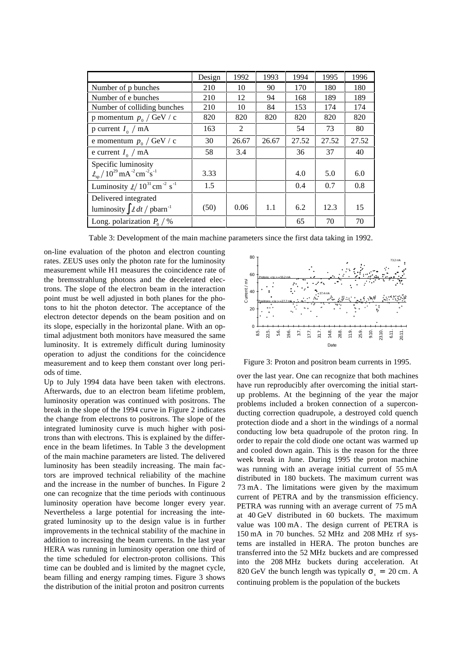|                                                                           | Design | 1992  | 1993  | 1994  | 1995  | 1996  |
|---------------------------------------------------------------------------|--------|-------|-------|-------|-------|-------|
| Number of p bunches                                                       | 210    | 10    | 90    | 170   | 180   | 180   |
| Number of e bunches                                                       | 210    | 12    | 94    | 168   | 189   | 189   |
| Number of colliding bunches                                               | 210    | 10    | 84    | 153   | 174   | 174   |
| p momentum $p_0 / GeV / c$                                                | 820    | 820   | 820   | 820   | 820   | 820   |
| p current $I_0$ / mA                                                      | 163    | 2     |       | 54    | 73    | 80    |
| e momentum $p_0 / GeV / c$                                                | 30     | 26.67 | 26.67 | 27.52 | 27.52 | 27.52 |
| e current $I_0$ / mA                                                      | 58     | 3.4   |       | 36    | 37    | 40    |
| Specific luminosity                                                       |        |       |       |       |       |       |
| $\ell_{\rm so}/10^{29}$ mA <sup>-2</sup> cm <sup>-2</sup> s <sup>-1</sup> | 3.33   |       |       | 4.0   | 5.0   | 6.0   |
| Luminosity $\ell/10^{31}$ cm <sup>-2</sup> s <sup>-1</sup>                | 1.5    |       |       | 0.4   | 0.7   | 0.8   |
| Delivered integrated                                                      |        |       |       |       |       |       |
| luminosity $\int \mathcal{L} dt / \rho \bar{b}$ arn <sup>-1</sup>         | (50)   | 0.06  | 1.1   | 6.2   | 12.3  | 15    |
| Long. polarization $P_0$ /%                                               |        |       |       | 65    | 70    | 70    |

Table 3: Development of the main machine parameters since the first data taking in 1992.

on-line evaluation of the photon and electron counting rates. ZEUS uses only the photon rate for the luminosity measurement while H1 measures the coincidence rate of the bremsstrahlung photons and the decelerated electrons. The slope of the electron beam in the interaction point must be well adjusted in both planes for the photons to hit the photon detector. The acceptance of the electron detector depends on the beam position and on its slope, especially in the horizontal plane. With an optimal adjustment both monitors have measured the same luminosity. It is extremely difficult during luminosity operation to adjust the conditions for the coincidence measurement and to keep them constant over long periods of time.

Up to July 1994 data have been taken with electrons. Afterwards, due to an electron beam lifetime problem, luminosity operation was continued with positrons. The break in the slope of the 1994 curve in Figure 2 indicates the change from electrons to positrons. The slope of the integrated luminosity curve is much higher with positrons than with electrons. This is explained by the difference in the beam lifetimes. In Table 3 the development of the main machine parameters are listed. The delivered luminosity has been steadily increasing. The main factors are improved technical reliability of the machine and the increase in the number of bunches. In Figure 2 one can recognize that the time periods with continuous luminosity operation have become longer every year. Nevertheless a large potential for increasing the integrated luminosity up to the design value is in further improvements in the technical stability of the machine in addition to increasing the beam currents. In the last year HERA was running in luminosity operation one third of the time scheduled for electron-proton collisions. This time can be doubled and is limited by the magnet cycle, beam filling and energy ramping times. Figure 3 shows the distribution of the initial proton and positron currents



Figure 3: Proton and positron beam currents in 1995.

over the last year. One can recognize that both machines have run reproducibly after overcoming the initial startup problems. At the beginning of the year the major problems included a broken connection of a superconducting correction quadrupole, a destroyed cold quench protection diode and a short in the windings of a normal conducting low beta quadrupole of the proton ring. In order to repair the cold diode one octant was warmed up and cooled down again. This is the reason for the three week break in June. During 1995 the proton machine was running with an average initial current of 55 mA distributed in 180 buckets. The maximum current was 73 mA. The limitations were given by the maximum current of PETRA and by the transmission efficiency. PETRA was running with an average current of 75 mA at 40 GeV distributed in 60 buckets. The maximum value was 100 mA . The design current of PETRA is 150 mA in 70 bunches. 52 MHz and 208 MHz rf systems are installed in HERA. The proton bunches are transferred into the 52 MHz buckets and are compressed into the 208 MHz buckets during acceleration. At 820 GeV the bunch length was typically  $\sigma$  = 20 cm. A continuing problem is the population of the buckets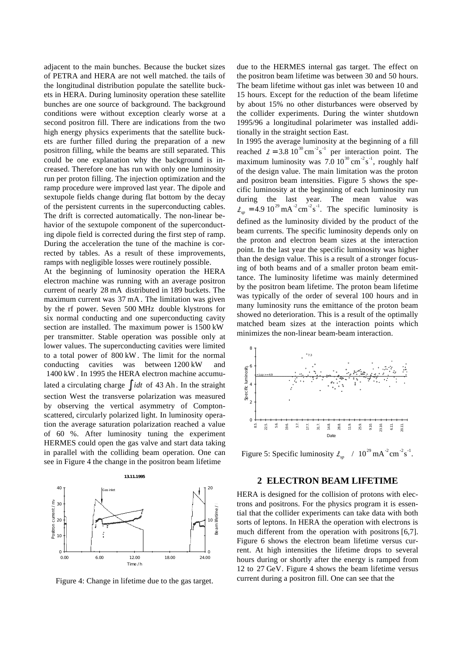adjacent to the main bunches. Because the bucket sizes of PETRA and HERA are not well matched. the tails of the longitudinal distribution populate the satellite buckets in HERA. During luminosity operation these satellite bunches are one source of background. The background conditions were without exception clearly worse at a second positron fill. There are indications from the two high energy physics experiments that the satellite buckets are further filled during the preparation of a new positron filling, while the beams are still separated. This could be one explanation why the background is increased. Therefore one has run with only one luminosity run per proton filling. The injection optimization and the ramp procedure were improved last year. The dipole and sextupole fields change during flat bottom by the decay of the persistent currents in the superconducting cables. The drift is corrected automatically. The non-linear behavior of the sextupole component of the superconducting dipole field is corrected during the first step of ramp. During the acceleration the tune of the machine is corrected by tables. As a result of these improvements, ramps with negligible losses were routinely possible.

At the beginning of luminosity operation the HERA electron machine was running with an average positron current of nearly 28 mA distributed in 189 buckets. The maximum current was 37 mA . The limitation was given by the rf power. Seven 500 MHz double klystrons for six normal conducting and one superconducting cavity section are installed. The maximum power is 1500 kW per transmitter. Stable operation was possible only at lower values. The superconducting cavities were limited to a total power of 800 kW . The limit for the normal conducting cavities was between 1200 kW and 1400 kW . In 1995 the HERA electron machine accumulated a circulating charge ∫ *idt* of 43 Ah . In the straight section West the transverse polarization was measured by observing the vertical asymmetry of Comptonscattered, circularly polarized light. In luminosity operation the average saturation polarization reached a value of 60 %. After luminosity tuning the experiment HERMES could open the gas valve and start data taking in parallel with the colliding beam operation. One can see in Figure 4 the change in the positron beam lifetime



Figure 4: Change in lifetime due to the gas target.

due to the HERMES internal gas target. The effect on the positron beam lifetime was between 30 and 50 hours. The beam lifetime without gas inlet was between 10 and 15 hours. Except for the reduction of the beam lifetime by about 15% no other disturbances were observed by the collider experiments. During the winter shutdown 1995/96 a longitudinal polarimeter was installed additionally in the straight section East.

In 1995 the average luminosity at the beginning of a fill reached  $\ell = 3.8 \overline{10^{30}} \text{ cm}^{-2} \text{s}^{-1}$  per interaction point. The maximum luminosity was  $7.0 \times 10^{-30} \text{ cm}^{-2} \text{s}^{-1}$ , roughly half of the design value. The main limitation was the proton and positron beam intensities. Figure 5 shows the specific luminosity at the beginning of each luminosity run during the last year. The mean value was  $s_p = 4.9 10^{29}$  mA<sup>-2</sup> cm<sup>-2</sup> s<sup>-1</sup>. The specific luminosity is defined as the luminosity divided by the product of the beam currents. The specific luminosity depends only on the proton and electron beam sizes at the interaction point. In the last year the specific luminosity was higher than the design value. This is a result of a stronger focusing of both beams and of a smaller proton beam emittance. The luminosity lifetime was mainly determined by the positron beam lifetime. The proton beam lifetime was typically of the order of several 100 hours and in many luminosity runs the emittance of the proton beam showed no deterioration. This is a result of the optimally matched beam sizes at the interaction points which minimizes the non-linear beam-beam interaction.



Figure 5: Specific luminosity  $l_{\rm w}$  /  $10^{29}$  mA<sup>-2</sup> cm<sup>-2</sup> s<sup>-1</sup>.

### **2 ELECTRON BEAM LIFETIME**

HERA is designed for the collision of protons with electrons and positrons. For the physics program it is essential that the collider experiments can take data with both sorts of leptons. In HERA the operation with electrons is much different from the operation with positrons [6,7]. Figure 6 shows the electron beam lifetime versus current. At high intensities the lifetime drops to several hours during or shortly after the energy is ramped from 12 to 27 GeV. Figure 4 shows the beam lifetime versus current during a positron fill. One can see that the